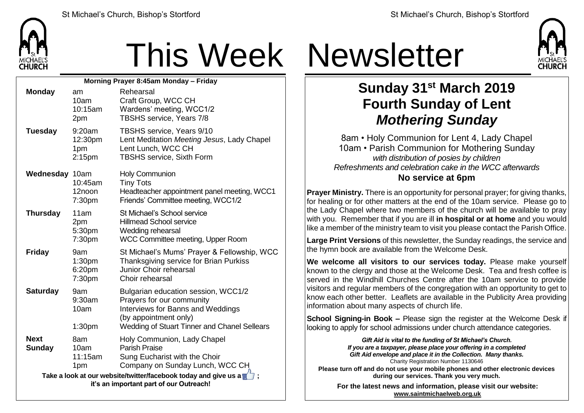

## This Week Newsletter

| Morning Prayer 8:45am Monday - Friday                                                                      |                                                |                                                                                                                                                                                |  |  |
|------------------------------------------------------------------------------------------------------------|------------------------------------------------|--------------------------------------------------------------------------------------------------------------------------------------------------------------------------------|--|--|
| <b>Monday</b>                                                                                              | am<br>10am<br>10:15am<br>2pm                   | Rehearsal<br>Craft Group, WCC CH<br>Wardens' meeting, WCC1/2<br>TBSHS service, Years 7/8                                                                                       |  |  |
| <b>Tuesday</b>                                                                                             | 9:20am<br>12:30pm<br>1pm<br>2:15 <sub>pm</sub> | TBSHS service, Years 9/10<br>Lent Meditation Meeting Jesus, Lady Chapel<br>Lent Lunch, WCC CH<br><b>TBSHS service, Sixth Form</b>                                              |  |  |
| Wednesday 10am                                                                                             | 10:45am<br>12noon<br>7:30pm                    | <b>Holy Communion</b><br><b>Tiny Tots</b><br>Headteacher appointment panel meeting, WCC1<br>Friends' Committee meeting, WCC1/2                                                 |  |  |
| <b>Thursday</b>                                                                                            | 11am<br>2pm<br>5:30pm<br>7:30pm                | St Michael's School service<br><b>Hillmead School service</b><br>Wedding rehearsal<br>WCC Committee meeting, Upper Room                                                        |  |  |
| <b>Friday</b>                                                                                              | 9am<br>1:30 <sub>pm</sub><br>6:20pm<br>7:30pm  | St Michael's Mums' Prayer & Fellowship, WCC<br>Thanksgiving service for Brian Purkiss<br>Junior Choir rehearsal<br>Choir rehearsal                                             |  |  |
| <b>Saturday</b>                                                                                            | 9am<br>9:30am<br>10am<br>1:30 <sub>pm</sub>    | Bulgarian education session, WCC1/2<br>Prayers for our community<br>Interviews for Banns and Weddings<br>(by appointment only)<br>Wedding of Stuart Tinner and Chanel Sellears |  |  |
| <b>Next</b><br><b>Sunday</b>                                                                               | 8am<br>10am<br>11:15am<br>1pm                  | Holy Communion, Lady Chapel<br>Parish Praise<br>Sung Eucharist with the Choir<br>Company on Sunday Lunch, WCC CH                                                               |  |  |
| Take a look at our website/twitter/facebook today and give us a<br>it's an important part of our Outreach! |                                                |                                                                                                                                                                                |  |  |



## **Sunday 31st March 2019 Fourth Sunday of Lent** *Mothering Sunday*

8am • Holy Communion for Lent 4, Lady Chapel 10am • Parish Communion for Mothering Sunday *with distribution of posies by children Refreshments and celebration cake in the WCC afterwards* **No service at 6pm**

**Prayer Ministry.** There is an opportunity for personal prayer; for giving thanks, for healing or for other matters at the end of the 10am service. Please go to the Lady Chapel where two members of the church will be available to pray with you. Remember that if you are ill **in hospital or at home** and you would like a member of the ministry team to visit you please contact the Parish Office.

**Large Print Versions** of this newsletter, the Sunday readings, the service and the hymn book are available from the Welcome Desk.

**We welcome all visitors to our services today.** Please make yourself known to the clergy and those at the Welcome Desk. Tea and fresh coffee is served in the Windhill Churches Centre after the 10am service to provide visitors and regular members of the congregation with an opportunity to get to know each other better. Leaflets are available in the Publicity Area providing information about many aspects of church life.

**School Signing-in Book –** Please sign the register at the Welcome Desk if looking to apply for school admissions under church attendance categories.

> *Gift Aid is vital to the funding of St Michael's Church. If you are a taxpayer, please place your offering in a completed Gift Aid envelope and place it in the Collection. Many thanks.* Charity Registration Number 1130646

**Please turn off and do not use your mobile phones and other electronic devices during our services. Thank you very much.**

**For the latest news and information, please visit our website: [www.saintmichaelweb.org.uk](http://www.saintmichaelweb.org.uk/)**